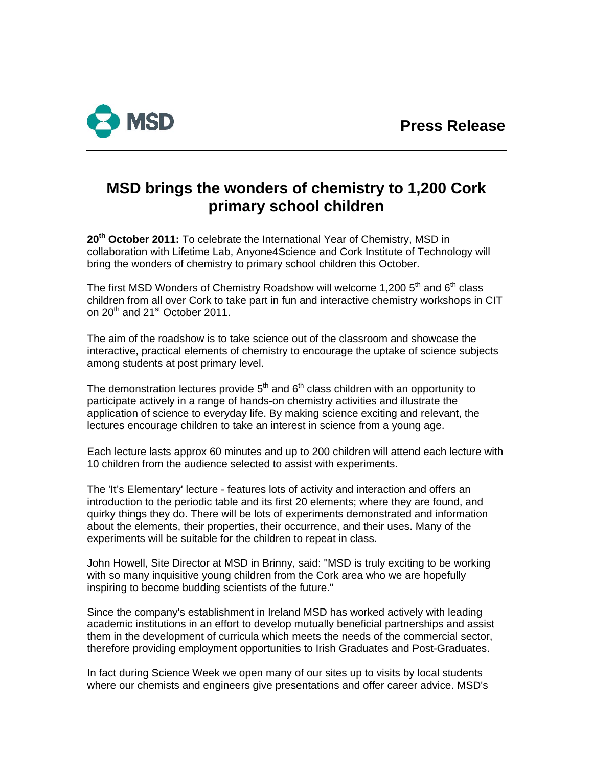

# **MSD brings the wonders of chemistry to 1,200 Cork primary school children**

**20th October 2011:** To celebrate the International Year of Chemistry, MSD in collaboration with Lifetime Lab, Anyone4Science and Cork Institute of Technology will bring the wonders of chemistry to primary school children this October.

The first MSD Wonders of Chemistry Roadshow will welcome 1,200  $5<sup>th</sup>$  and  $6<sup>th</sup>$  class children from all over Cork to take part in fun and interactive chemistry workshops in CIT on 20<sup>th</sup> and 21<sup>st</sup> October 2011.

The aim of the roadshow is to take science out of the classroom and showcase the interactive, practical elements of chemistry to encourage the uptake of science subjects among students at post primary level.

The demonstration lectures provide  $5<sup>th</sup>$  and  $6<sup>th</sup>$  class children with an opportunity to participate actively in a range of hands-on chemistry activities and illustrate the application of science to everyday life. By making science exciting and relevant, the lectures encourage children to take an interest in science from a young age.

Each lecture lasts approx 60 minutes and up to 200 children will attend each lecture with 10 children from the audience selected to assist with experiments.

The 'It's Elementary' lecture - features lots of activity and interaction and offers an introduction to the periodic table and its first 20 elements; where they are found, and quirky things they do. There will be lots of experiments demonstrated and information about the elements, their properties, their occurrence, and their uses. Many of the experiments will be suitable for the children to repeat in class.

John Howell, Site Director at MSD in Brinny, said: "MSD is truly exciting to be working with so many inquisitive young children from the Cork area who we are hopefully inspiring to become budding scientists of the future."

Since the company's establishment in Ireland MSD has worked actively with leading academic institutions in an effort to develop mutually beneficial partnerships and assist them in the development of curricula which meets the needs of the commercial sector, therefore providing employment opportunities to Irish Graduates and Post-Graduates.

In fact during Science Week we open many of our sites up to visits by local students where our chemists and engineers give presentations and offer career advice. MSD's